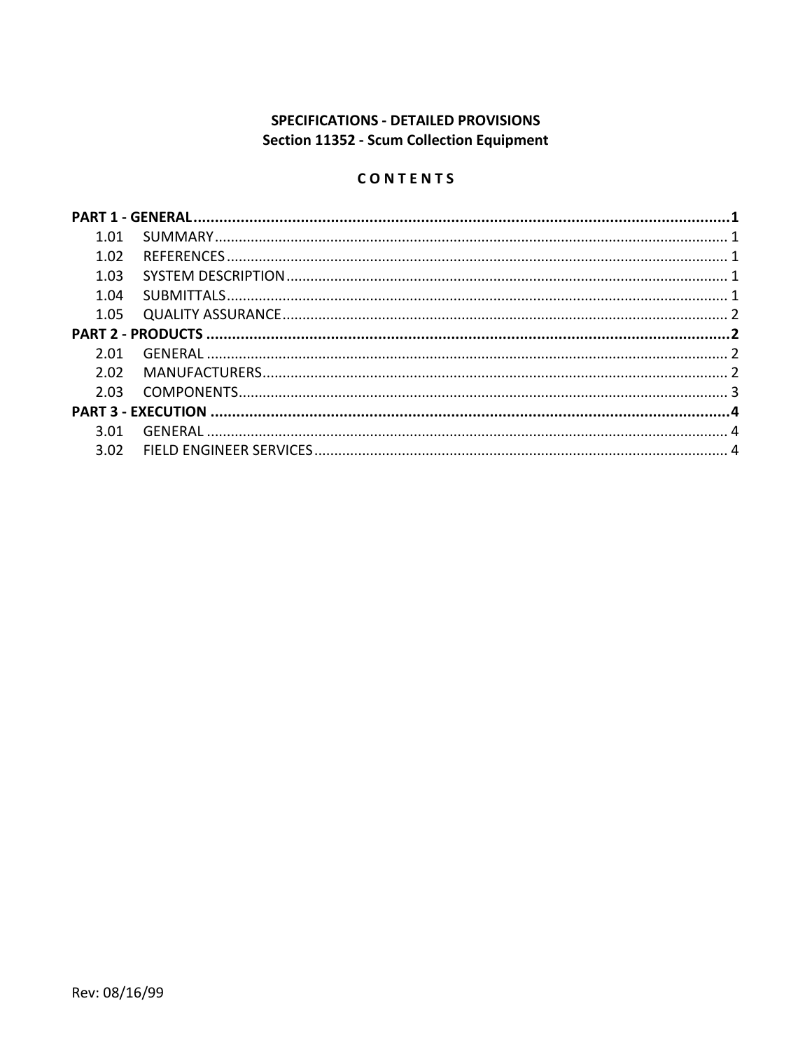# SPECIFICATIONS - DETAILED PROVISIONS Section 11352 - Scum Collection Equipment

# CONTENTS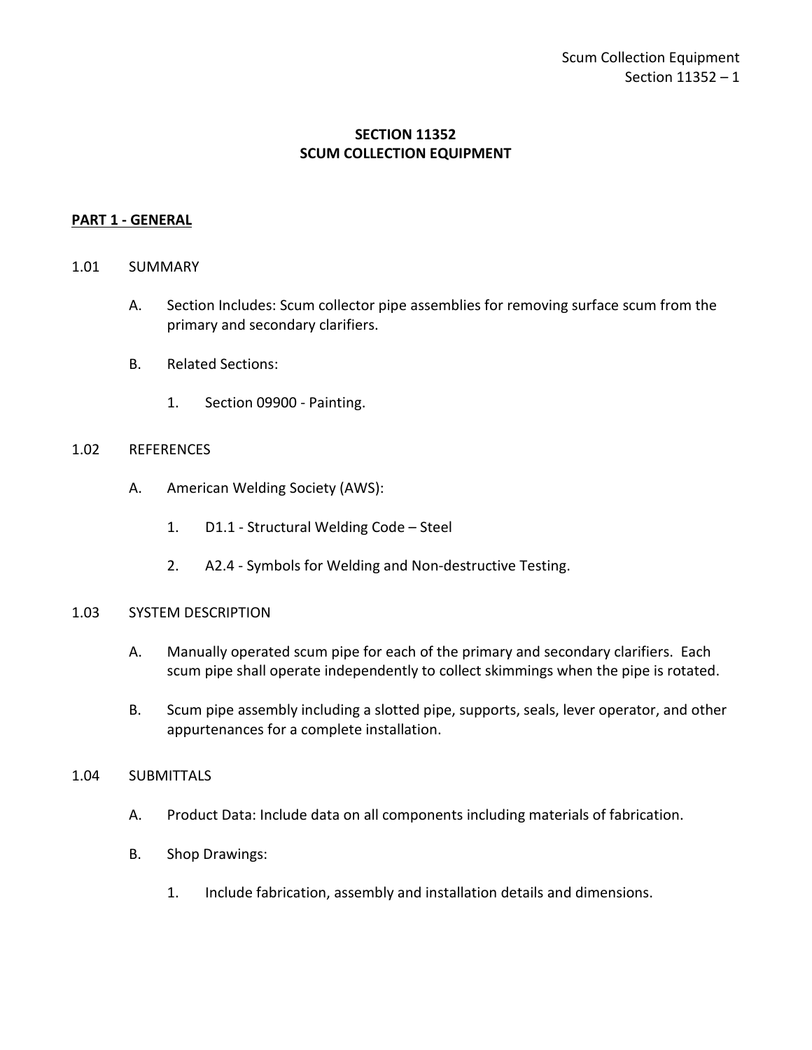# **SECTION 11352 SCUM COLLECTION EQUIPMENT**

### <span id="page-2-0"></span>**PART 1 - GENERAL**

#### <span id="page-2-1"></span>1.01 SUMMARY

- A. Section Includes: Scum collector pipe assemblies for removing surface scum from the primary and secondary clarifiers.
- B. Related Sections:
	- 1. Section 09900 Painting.

#### <span id="page-2-2"></span>1.02 REFERENCES

- A. American Welding Society (AWS):
	- 1. D1.1 Structural Welding Code Steel
	- 2. A2.4 Symbols for Welding and Non-destructive Testing.

#### <span id="page-2-3"></span>1.03 SYSTEM DESCRIPTION

- A. Manually operated scum pipe for each of the primary and secondary clarifiers. Each scum pipe shall operate independently to collect skimmings when the pipe is rotated.
- B. Scum pipe assembly including a slotted pipe, supports, seals, lever operator, and other appurtenances for a complete installation.

#### <span id="page-2-4"></span>1.04 SUBMITTALS

- A. Product Data: Include data on all components including materials of fabrication.
- B. Shop Drawings:
	- 1. Include fabrication, assembly and installation details and dimensions.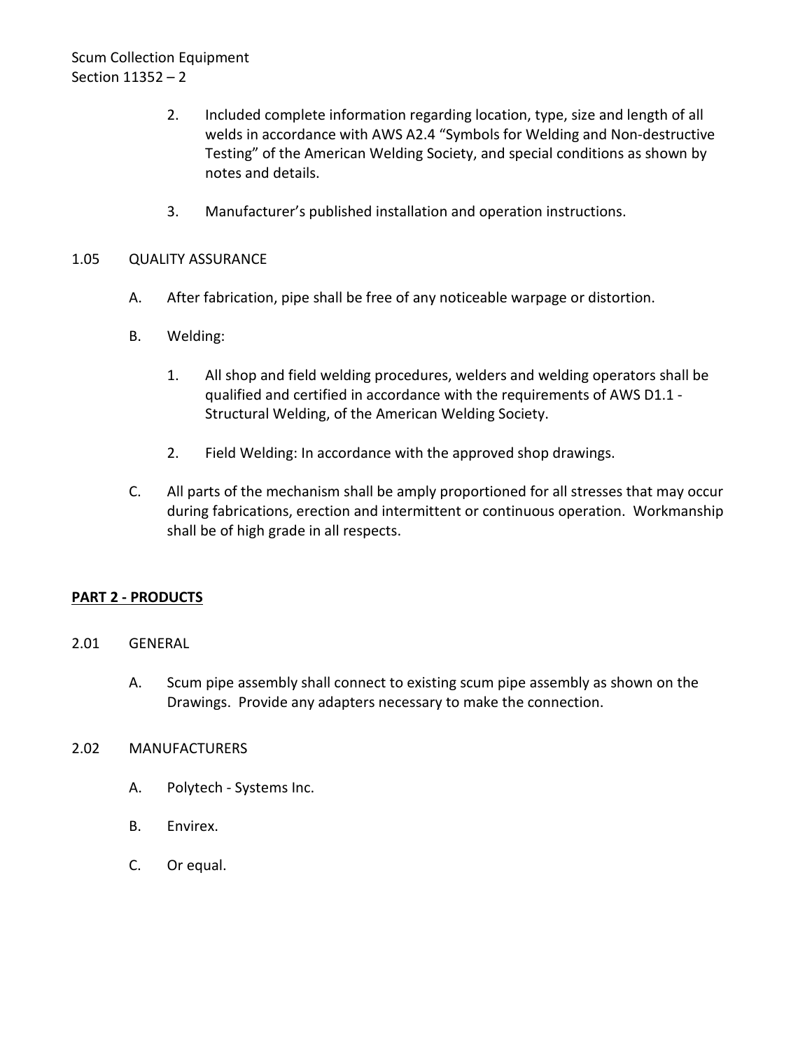- 2. Included complete information regarding location, type, size and length of all welds in accordance with AWS A2.4 "Symbols for Welding and Non-destructive Testing" of the American Welding Society, and special conditions as shown by notes and details.
- 3. Manufacturer's published installation and operation instructions.

# <span id="page-3-0"></span>1.05 QUALITY ASSURANCE

- A. After fabrication, pipe shall be free of any noticeable warpage or distortion.
- B. Welding:
	- 1. All shop and field welding procedures, welders and welding operators shall be qualified and certified in accordance with the requirements of AWS D1.1 - Structural Welding, of the American Welding Society.
	- 2. Field Welding: In accordance with the approved shop drawings.
- C. All parts of the mechanism shall be amply proportioned for all stresses that may occur during fabrications, erection and intermittent or continuous operation. Workmanship shall be of high grade in all respects.

# <span id="page-3-1"></span>**PART 2 - PRODUCTS**

### <span id="page-3-2"></span>2.01 GENERAL

A. Scum pipe assembly shall connect to existing scum pipe assembly as shown on the Drawings. Provide any adapters necessary to make the connection.

### <span id="page-3-3"></span>2.02 MANUFACTURERS

- A. Polytech Systems Inc.
- B. Envirex.
- C. Or equal.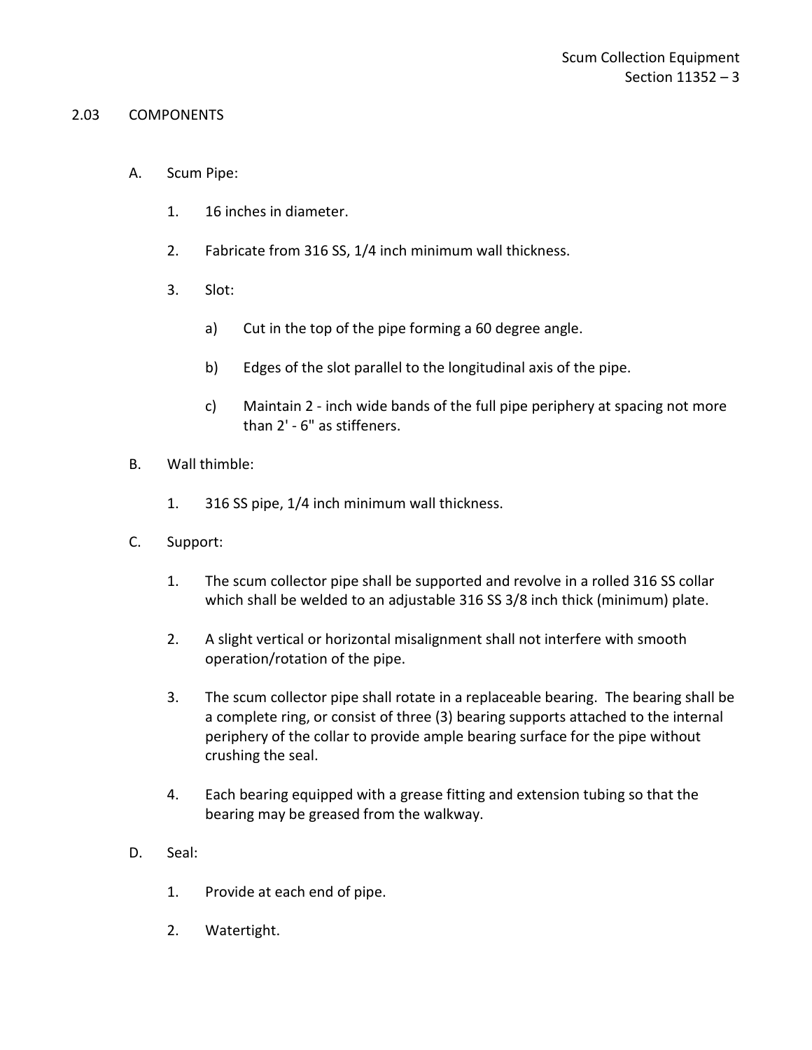#### <span id="page-4-0"></span>2.03 COMPONENTS

- A. Scum Pipe:
	- 1. 16 inches in diameter.
	- 2. Fabricate from 316 SS, 1/4 inch minimum wall thickness.
	- 3. Slot:
		- a) Cut in the top of the pipe forming a 60 degree angle.
		- b) Edges of the slot parallel to the longitudinal axis of the pipe.
		- c) Maintain 2 inch wide bands of the full pipe periphery at spacing not more than 2' - 6" as stiffeners.
- B. Wall thimble:
	- 1. 316 SS pipe, 1/4 inch minimum wall thickness.
- C. Support:
	- 1. The scum collector pipe shall be supported and revolve in a rolled 316 SS collar which shall be welded to an adjustable 316 SS 3/8 inch thick (minimum) plate.
	- 2. A slight vertical or horizontal misalignment shall not interfere with smooth operation/rotation of the pipe.
	- 3. The scum collector pipe shall rotate in a replaceable bearing. The bearing shall be a complete ring, or consist of three (3) bearing supports attached to the internal periphery of the collar to provide ample bearing surface for the pipe without crushing the seal.
	- 4. Each bearing equipped with a grease fitting and extension tubing so that the bearing may be greased from the walkway.
- D. Seal:
	- 1. Provide at each end of pipe.
	- 2. Watertight.